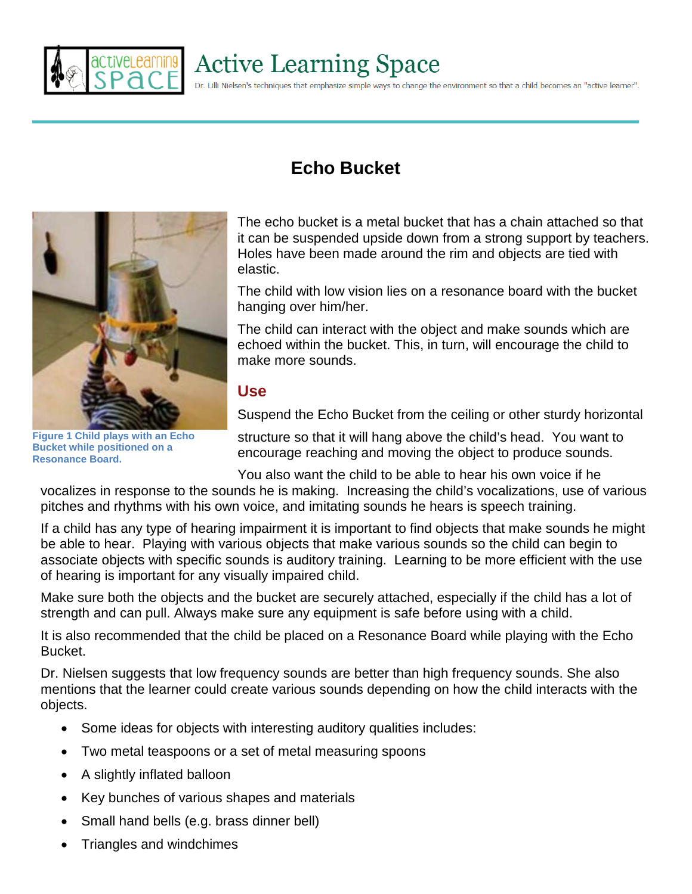

# **Active Learning Space**

Dr. Lilli Nielsen's techniques that emphasize simple ways to change the environment so that a child becomes an "active learner".



**Figure 1 Child plays with an Echo Bucket while positioned on a Resonance Board.**

# **Echo Bucket**

The echo bucket is a metal bucket that has a chain attached so that it can be suspended upside down from a strong support by teachers. Holes have been made around the rim and objects are tied with elastic.

The child with low vision lies on a resonance board with the bucket hanging over him/her.

The child can interact with the object and make sounds which are echoed within the bucket. This, in turn, will encourage the child to make more sounds.

#### **Use**

Suspend the Echo Bucket from the ceiling or other sturdy horizontal

structure so that it will hang above the child's head. You want to encourage reaching and moving the object to produce sounds.

You also want the child to be able to hear his own voice if he

vocalizes in response to the sounds he is making. Increasing the child's vocalizations, use of various pitches and rhythms with his own voice, and imitating sounds he hears is speech training.

If a child has any type of hearing impairment it is important to find objects that make sounds he might be able to hear. Playing with various objects that make various sounds so the child can begin to associate objects with specific sounds is auditory training. Learning to be more efficient with the use of hearing is important for any visually impaired child.

Make sure both the objects and the bucket are securely attached, especially if the child has a lot of strength and can pull. Always make sure any equipment is safe before using with a child.

It is also recommended that the child be placed on a Resonance Board while playing with the Echo Bucket.

Dr. Nielsen suggests that low frequency sounds are better than high frequency sounds. She also mentions that the learner could create various sounds depending on how the child interacts with the objects.

- Some ideas for objects with interesting auditory qualities includes:
- Two metal teaspoons or a set of metal measuring spoons
- A slightly inflated balloon
- Key bunches of various shapes and materials
- Small hand bells (e.g. brass dinner bell)
- Triangles and windchimes